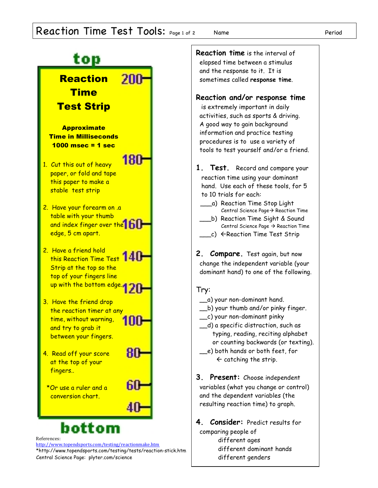## Reaction Time Test Tools: Page 1 of 2 Name Name Period



different dominant hands

different genders

\*http://www.topendsports.com/testing/tests/reaction-stick.htm Central Science Page: plyter.com/science